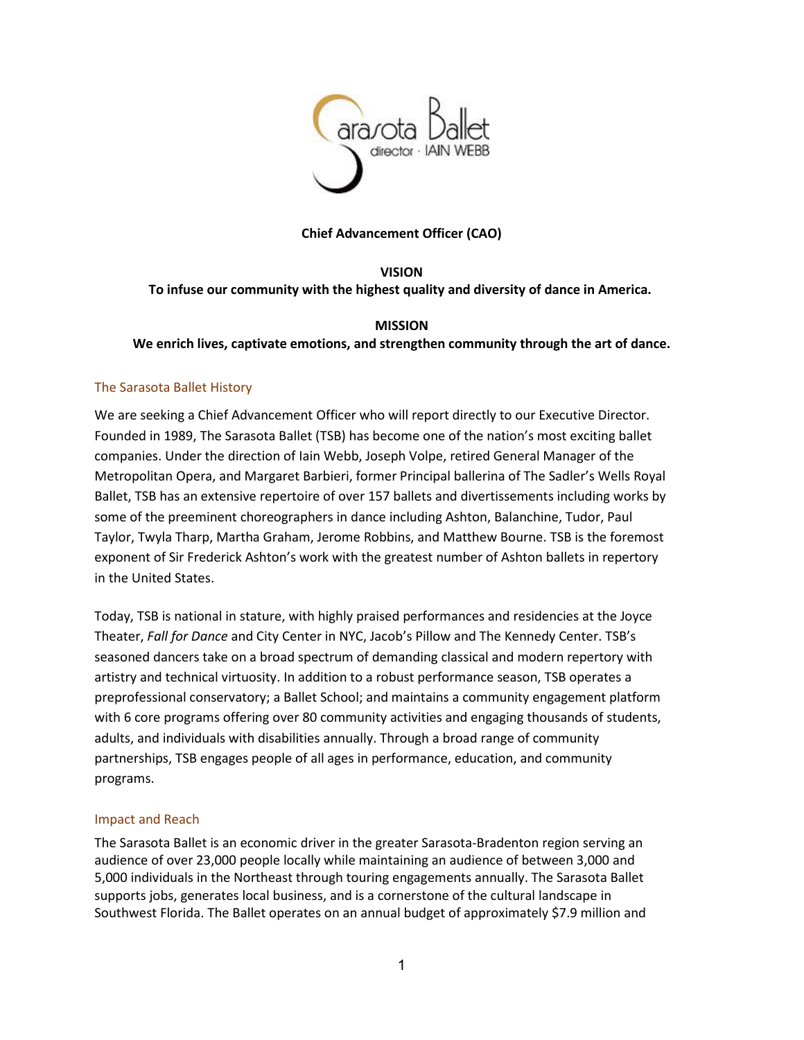

#### **Chief Advancement Officer (CAO)**

## **VISION To infuse our community with the highest quality and diversity of dance in America.**

# **MISSION We enrich lives, captivate emotions, and strengthen community through the art of dance.**

### The Sarasota Ballet History

We are seeking a Chief Advancement Officer who will report directly to our Executive Director. Founded in 1989, The Sarasota Ballet (TSB) has become one of the nation's most exciting ballet companies. Under the direction of Iain Webb, Joseph Volpe, retired General Manager of the Metropolitan Opera, and Margaret Barbieri, former Principal ballerina of The Sadler's Wells Royal Ballet, TSB has an extensive repertoire of over 157 ballets and divertissements including works by some of the preeminent choreographers in dance including Ashton, Balanchine, Tudor, Paul Taylor, Twyla Tharp, Martha Graham, Jerome Robbins, and Matthew Bourne. TSB is the foremost exponent of Sir Frederick Ashton's work with the greatest number of Ashton ballets in repertory in the United States.

Today, TSB is national in stature, with highly praised performances and residencies at the Joyce Theater, *Fall for Dance* and City Center in NYC, Jacob's Pillow and The Kennedy Center. TSB's seasoned dancers take on a broad spectrum of demanding classical and modern repertory with artistry and technical virtuosity. In addition to a robust performance season, TSB operates a preprofessional conservatory; a Ballet School; and maintains a community engagement platform with 6 core programs offering over 80 community activities and engaging thousands of students, adults, and individuals with disabilities annually. Through a broad range of community partnerships, TSB engages people of all ages in performance, education, and community programs.

#### Impact and Reach

The Sarasota Ballet is an economic driver in the greater Sarasota-Bradenton region serving an audience of over 23,000 people locally while maintaining an audience of between 3,000 and 5,000 individuals in the Northeast through touring engagements annually. The Sarasota Ballet supports jobs, generates local business, and is a cornerstone of the cultural landscape in Southwest Florida. The Ballet operates on an annual budget of approximately \$7.9 million and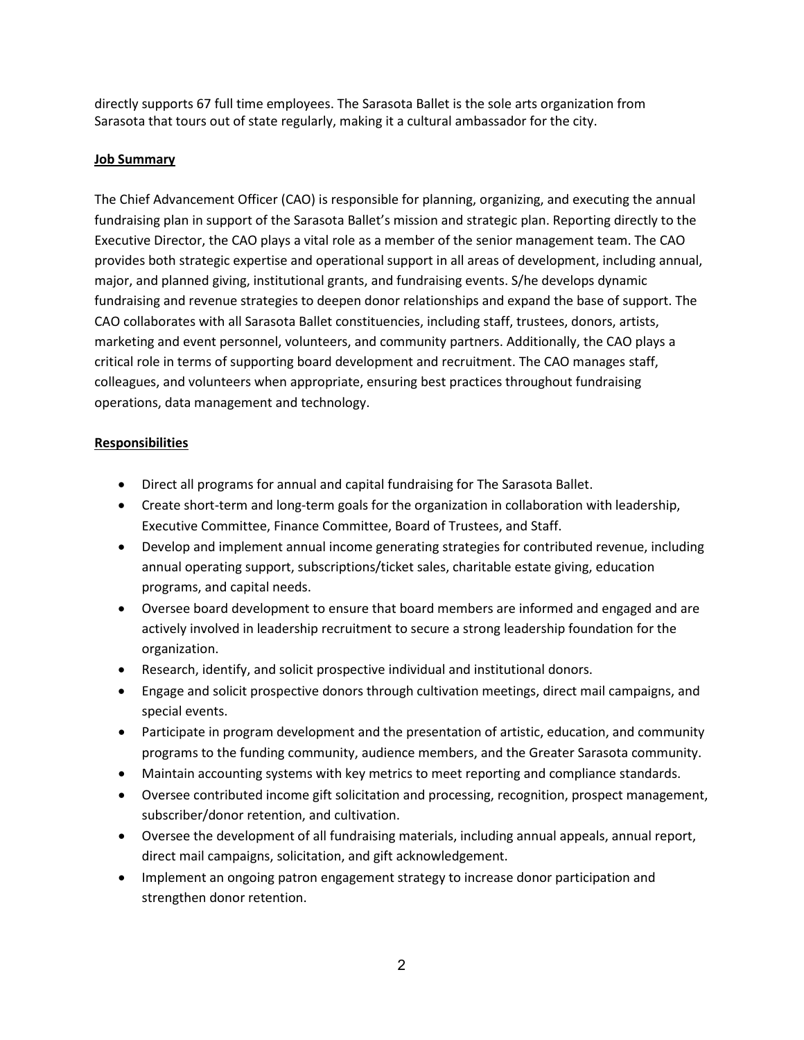directly supports 67 full time employees. The Sarasota Ballet is the sole arts organization from Sarasota that tours out of state regularly, making it a cultural ambassador for the city.

## **Job Summary**

The Chief Advancement Officer (CAO) is responsible for planning, organizing, and executing the annual fundraising plan in support of the Sarasota Ballet's mission and strategic plan. Reporting directly to the Executive Director, the CAO plays a vital role as a member of the senior management team. The CAO provides both strategic expertise and operational support in all areas of development, including annual, major, and planned giving, institutional grants, and fundraising events. S/he develops dynamic fundraising and revenue strategies to deepen donor relationships and expand the base of support. The CAO collaborates with all Sarasota Ballet constituencies, including staff, trustees, donors, artists, marketing and event personnel, volunteers, and community partners. Additionally, the CAO plays a critical role in terms of supporting board development and recruitment. The CAO manages staff, colleagues, and volunteers when appropriate, ensuring best practices throughout fundraising operations, data management and technology.

### **Responsibilities**

- Direct all programs for annual and capital fundraising for The Sarasota Ballet.
- Create short-term and long-term goals for the organization in collaboration with leadership, Executive Committee, Finance Committee, Board of Trustees, and Staff.
- Develop and implement annual income generating strategies for contributed revenue, including annual operating support, subscriptions/ticket sales, charitable estate giving, education programs, and capital needs.
- Oversee board development to ensure that board members are informed and engaged and are actively involved in leadership recruitment to secure a strong leadership foundation for the organization.
- Research, identify, and solicit prospective individual and institutional donors.
- Engage and solicit prospective donors through cultivation meetings, direct mail campaigns, and special events.
- Participate in program development and the presentation of artistic, education, and community programs to the funding community, audience members, and the Greater Sarasota community.
- Maintain accounting systems with key metrics to meet reporting and compliance standards.
- Oversee contributed income gift solicitation and processing, recognition, prospect management, subscriber/donor retention, and cultivation.
- Oversee the development of all fundraising materials, including annual appeals, annual report, direct mail campaigns, solicitation, and gift acknowledgement.
- Implement an ongoing patron engagement strategy to increase donor participation and strengthen donor retention.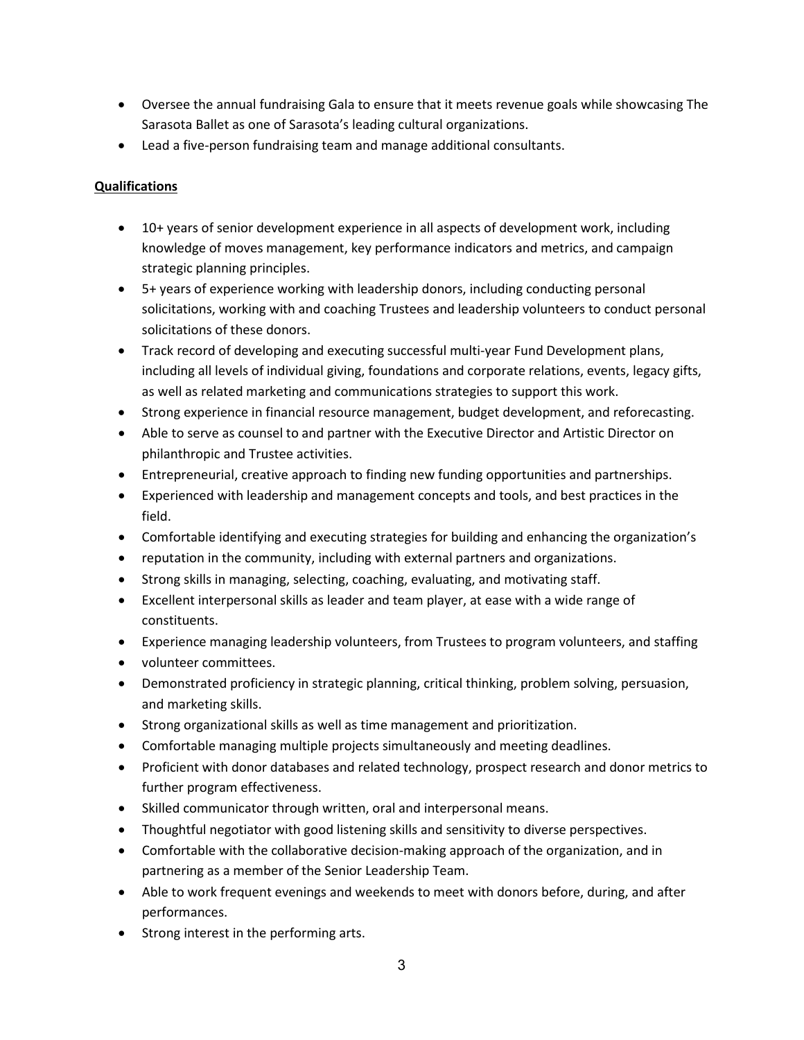- Oversee the annual fundraising Gala to ensure that it meets revenue goals while showcasing The Sarasota Ballet as one of Sarasota's leading cultural organizations.
- Lead a five-person fundraising team and manage additional consultants.

# **Qualifications**

- 10+ years of senior development experience in all aspects of development work, including knowledge of moves management, key performance indicators and metrics, and campaign strategic planning principles.
- 5+ years of experience working with leadership donors, including conducting personal solicitations, working with and coaching Trustees and leadership volunteers to conduct personal solicitations of these donors.
- Track record of developing and executing successful multi-year Fund Development plans, including all levels of individual giving, foundations and corporate relations, events, legacy gifts, as well as related marketing and communications strategies to support this work.
- Strong experience in financial resource management, budget development, and reforecasting.
- Able to serve as counsel to and partner with the Executive Director and Artistic Director on philanthropic and Trustee activities.
- Entrepreneurial, creative approach to finding new funding opportunities and partnerships.
- Experienced with leadership and management concepts and tools, and best practices in the field.
- Comfortable identifying and executing strategies for building and enhancing the organization's
- reputation in the community, including with external partners and organizations.
- Strong skills in managing, selecting, coaching, evaluating, and motivating staff.
- Excellent interpersonal skills as leader and team player, at ease with a wide range of constituents.
- Experience managing leadership volunteers, from Trustees to program volunteers, and staffing
- volunteer committees.
- Demonstrated proficiency in strategic planning, critical thinking, problem solving, persuasion, and marketing skills.
- Strong organizational skills as well as time management and prioritization.
- Comfortable managing multiple projects simultaneously and meeting deadlines.
- Proficient with donor databases and related technology, prospect research and donor metrics to further program effectiveness.
- Skilled communicator through written, oral and interpersonal means.
- Thoughtful negotiator with good listening skills and sensitivity to diverse perspectives.
- Comfortable with the collaborative decision-making approach of the organization, and in partnering as a member of the Senior Leadership Team.
- Able to work frequent evenings and weekends to meet with donors before, during, and after performances.
- Strong interest in the performing arts.